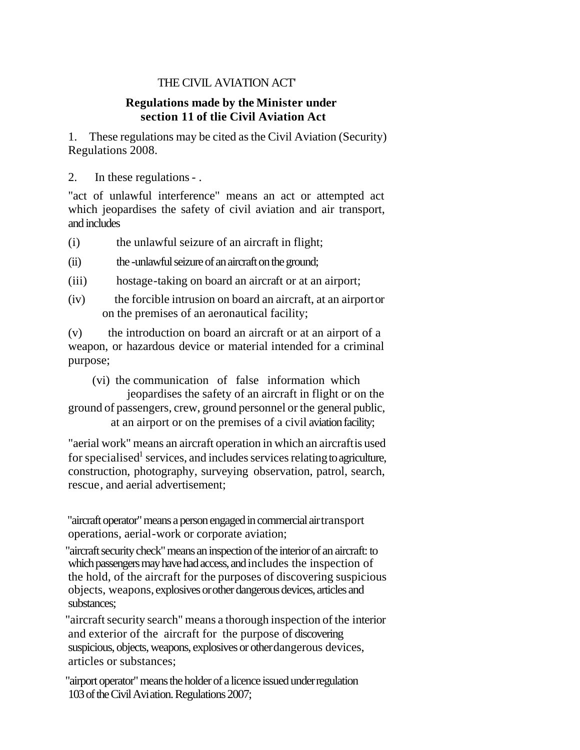# THE CIVIL AVIATION ACT'

# **Regulations made by the Minister under section 11 of tlie Civil Aviation Act**

1. These regulations may be cited as the Civil Aviation (Security) Regulations 2008.

2. In these regulations - .

"act of unlawful interference" means an act or attempted act which jeopardises the safety of civil aviation and air transport, and includes

(i) the unlawful seizure of an aircraft in flight;

(ii) the -unlawful seizure of an aircraft on the ground;

- (iii) hostage-taking on board an aircraft or at an airport;
- (iv) the forcible intrusion on board an aircraft, at an airport or on the premises of an aeronautical facility;

(v) the introduction on board an aircraft or at an airport of a weapon, or hazardous device or material intended for a criminal purpose;

(vi) the communication of false information which jeopardises the safety of an aircraft in flight or on the ground of passengers, crew, ground personnel or the general public, at an airport or on the premises of a civil aviation facility;

"aerial work" means an aircraft operation in which an aircraft is used for specialised<sup>1</sup> services, and includes services relating to agriculture, construction, photography, surveying observation, patrol, search, rescue, and aerial advertisement;

"aircraft operator" means a person engaged in commercial air transport operations, aerial-work or corporate aviation;

"aircraft security check" means an inspection of the interior of an aircraft: to which passengers may have had access, and includes the inspection of the hold, of the aircraft for the purposes of discovering suspicious objects, weapons, explosives orother dangerous devices, articles and substances;

"aircraft security search" means a thorough inspection of the interior and exterior of the aircraft for the purpose of discovering suspicious, objects, weapons, explosives or other dangerous devices, articles or substances;

"airport operator" means the holder of a licence issued under regulation 103 of the Civil Aviation. Regulations 2007;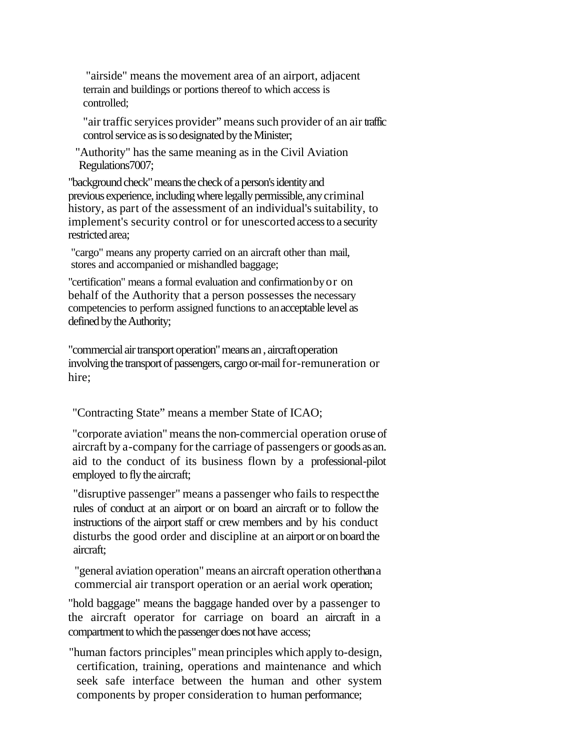"airside" means the movement area of an airport, adjacent terrain and buildings or portions thereof to which access is controlled;

"air traffic seryices provider" means such provider of an air traffic control service as is so designated by the Minister;

"Authority" has the same meaning as in the Civil Aviation Regulations7007;

"background check" means the check of a person's identity and previous experience, including where legally permissible, anycriminal history, as part of the assessment of an individual's suitability, to implement's security control or for unescorted access to a security restricted area;

"cargo" means any property carried on an aircraft other than mail, stores and accompanied or mishandled baggage;

"certification" means a formal evaluation and confirmationbyor on behalf of the Authority that a person possesses the necessary competencies to perform assigned functions to anacceptable level as defined by the Authority;

"commercial air transport operation" means an , aircraft operation involving the transport of passengers, cargo or-mail for-remuneration or hire;

"Contracting State" means a member State of ICAO;

"corporate aviation" means the non-commercial operation or use of aircraft by a-company for the carriage of passengers or goods as an. aid to the conduct of its business flown by a professional-pilot employed to fly the aircraft;

"disruptive passenger" means a passenger who fails to respect the rules of conduct at an airport or on board an aircraft or to follow the instructions of the airport staff or crew members and by his conduct disturbs the good order and discipline at an airport or on board the aircraft;

"general aviation operation" means an aircraft operation other than a commercial air transport operation or an aerial work operation;

"hold baggage" means the baggage handed over by a passenger to the aircraft operator for carriage on board an aircraft in a compartment to which the passenger does not have access;

"human factors principles" mean principles which apply to-design, certification, training, operations and maintenance and which seek safe interface between the human and other system components by proper consideration to human performance;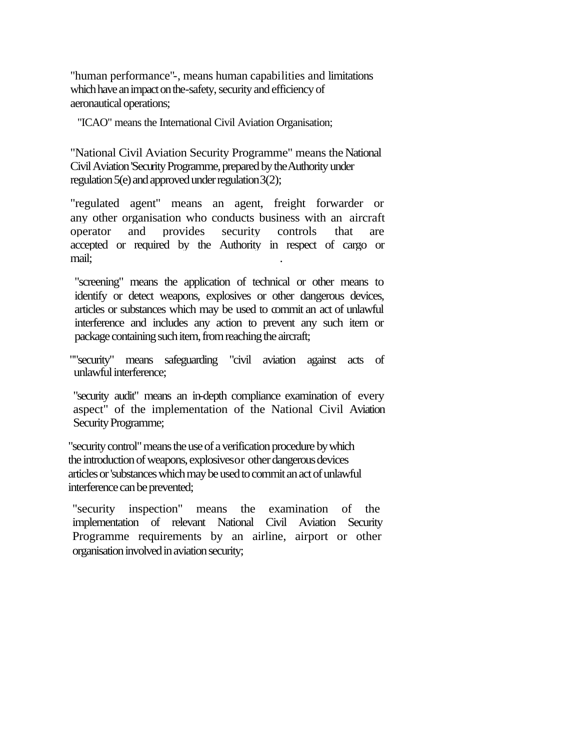"human performance"-, means human capabilities and limitations which have an impact on the-safety, security and efficiency of aeronautical operations;

"ICAO" means the International Civil Aviation Organisation;

"National Civil Aviation Security Programme" means the National Civil Aviation 'Security Programme, prepared by the Authority under regulation 5(e) and approved under regulation 3(2);

"regulated agent" means an agent, freight forwarder or any other organisation who conducts business with an aircraft operator and provides security controls that are accepted or required by the Authority in respect of cargo or mail; .

"screening" means the application of technical or other means to identify or detect weapons, explosives or other dangerous devices, articles or substances which may be used to commit an act of unlawful interference and includes any action to prevent any such item or package containing such item, from reaching the aircraft;

""security" means safeguarding "civil aviation against acts of unlawful interference;

"security audit" means an in-depth compliance examination of every aspect" of the implementation of the National Civil Aviation Security Programme;

"security control" means the use of a verification procedure by which the introduction of weapons, explosives or other dangerous devices articles or 'substances which may be used to commit an act of unlawful interference can be prevented;

"security inspection" means the examination of the implementation of relevant National Civil Aviation Security Programme requirements by an airline, airport or other organisation involved in aviation security;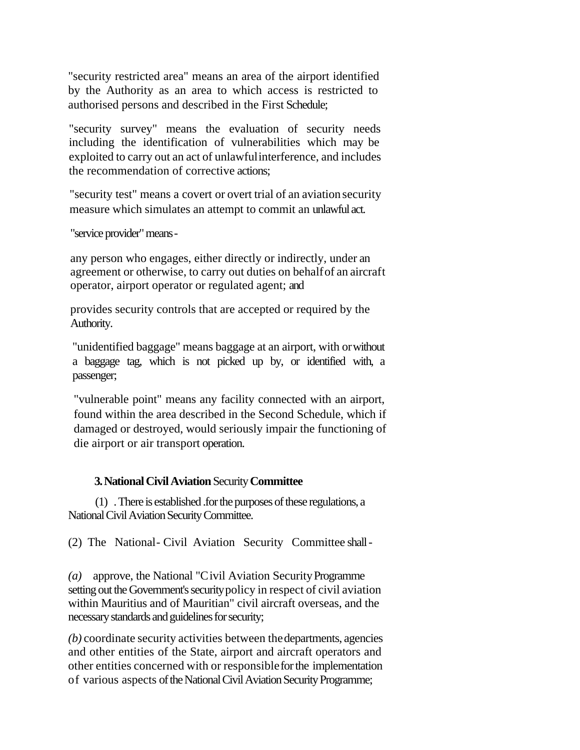"security restricted area" means an area of the airport identified by the Authority as an area to which access is restricted to authorised persons and described in the First Schedule;

"security survey" means the evaluation of security needs including the identification of vulnerabilities which may be exploited to carry out an act of unlawful interference, and includes the recommendation of corrective actions;

"security test" means a covert or overt trial of an aviation security measure which simulates an attempt to commit an unlawful act.

"service provider" means -

any person who engages, either directly or indirectly, under an agreement or otherwise, to carry out duties on behalf of an aircraft operator, airport operator or regulated agent; and

provides security controls that are accepted or required by the Authority.

"unidentified baggage" means baggage at an airport, with or without a baggage tag, which is not picked up by, or identified with, a passenger;

"vulnerable point" means any facility connected with an airport, found within the area described in the Second Schedule, which if damaged or destroyed, would seriously impair the functioning of die airport or air transport operation.

### **3. National Civil Aviation** Security **Committee**

(1) . There is established .for the purposes of these regulations, a National Civil Aviation Security Committee.

(2) The National- Civil Aviation Security Committee shall -

*(a)* approve, the National "Civil Aviation Security Programme setting out the Government's securitypolicy in respect of civil aviation within Mauritius and of Mauritian" civil aircraft overseas, and the necessary standards and guidelines for security;

*(b)* coordinate security activities between the departments, agencies and other entities of the State, airport and aircraft operators and other entities concerned with or responsible for the implementation of various aspects of the National Civil Aviation Security Programme;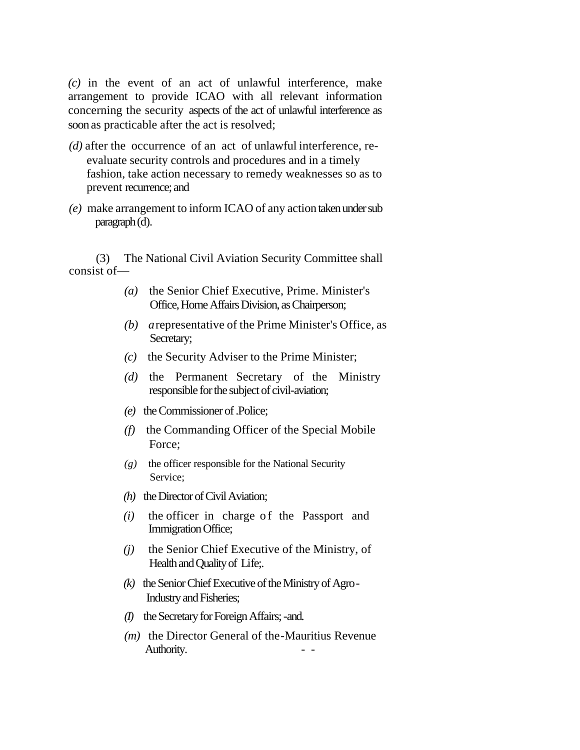*(c)* in the event of an act of unlawful interference, make arrangement to provide ICAO with all relevant information concerning the security aspects of the act of unlawful interference as soon as practicable after the act is resolved;

- *(d)* after the occurrence of an act of unlawful interference, reevaluate security controls and procedures and in a timely fashion, take action necessary to remedy weaknesses so as to prevent recurrence; and
- *(e)* make arrangement to inform ICAO of any action taken under sub paragraph (d).

(3) The National Civil Aviation Security Committee shall consist of—

- *(a)* the Senior Chief Executive, Prime. Minister's Office, Home Affairs Division, as Chairperson;
- *(b) a* representative of the Prime Minister's Office, as Secretary;
- *(c)* the Security Adviser to the Prime Minister;
- *(d)* the Permanent Secretary of the Ministry responsible for the subject of civil-aviation;
- *(e)* the Commissioner of .Police;
- *(f)* the Commanding Officer of the Special Mobile Force;
- *(g)* the officer responsible for the National Security Service;
- *(h)* the Director of Civil Aviation;
- *(i)* the officer in charge of the Passport and Immigration Office;
- *(j)* the Senior Chief Executive of the Ministry, of Health and Quality of Life;.
- *(k)* the Senior Chief Executive of the Ministry of Agro Industry and Fisheries;
- *(I)* the Secretary for Foreign Affairs; -and.
- *(m)* the Director General of the-Mauritius Revenue Authority.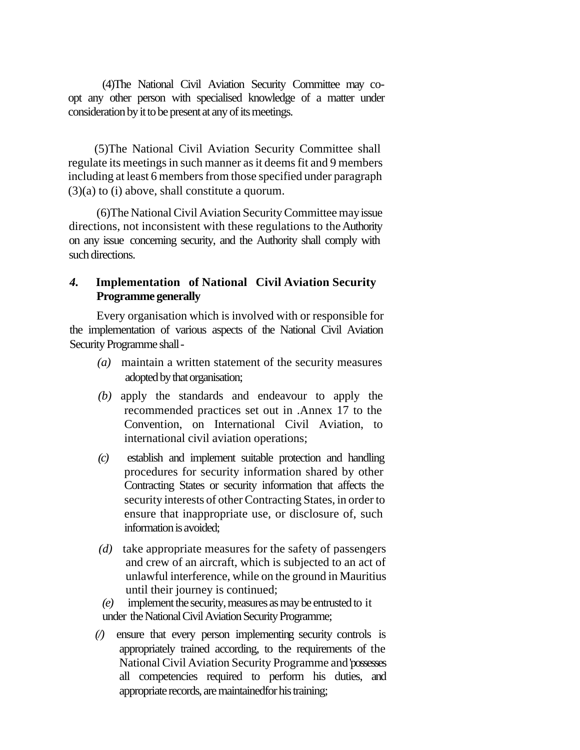(4)The National Civil Aviation Security Committee may coopt any other person with specialised knowledge of a matter under consideration by it to be present at any of its meetings.

(5)The National Civil Aviation Security Committee shall regulate its meetings in such manner as it deems fit and 9 members including at least 6 members from those specified under paragraph (3)(a) to (i) above, shall constitute a quorum.

(6)The National Civil Aviation Security Committee may issue directions, not inconsistent with these regulations to the Authority on any issue concerning security, and the Authority shall comply with such directions.

# *4.* **Implementation of National Civil Aviation Security Programme generally**

Every organisation which is involved with or responsible for the implementation of various aspects of the National Civil Aviation Security Programme shall -

- *(a)* maintain a written statement of the security measures adopted by that organisation;
- *(b)* apply the standards and endeavour to apply the recommended practices set out in .Annex 17 to the Convention, on International Civil Aviation, to international civil aviation operations;
- *(c)* establish and implement suitable protection and handling procedures for security information shared by other Contracting States or security information that affects the security interests of other Contracting States, in order to ensure that inappropriate use, or disclosure of, such information is avoided;
- *(d)* take appropriate measures for the safety of passengers and crew of an aircraft, which is subjected to an act of unlawful interference, while on the ground in Mauritius until their journey is continued;
- *(e)* implement the security, measures as may be entrusted to it under the National Civil Aviation Security Programme;
- *(/)* ensure that every person implementing security controls is appropriately trained according, to the requirements of the National Civil Aviation Security Programme and 'possesses all competencies required to perform his duties, and appropriate records, are maintainedfor his training;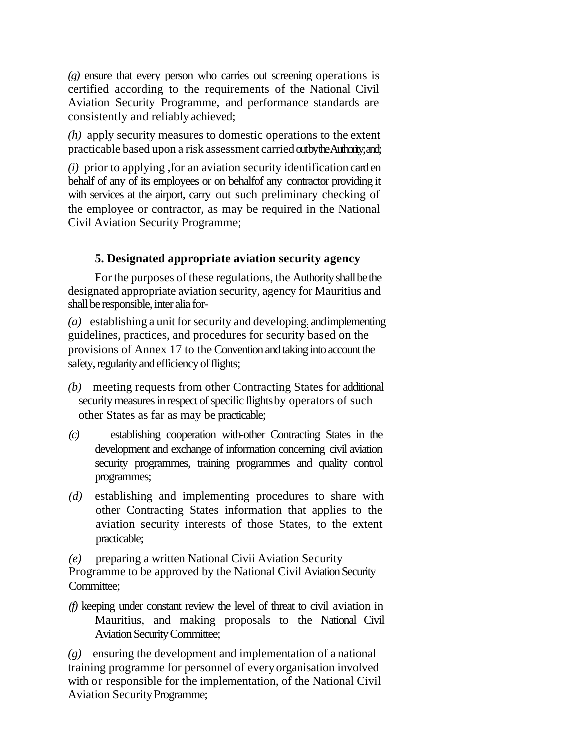*(g)* ensure that every person who carries out screening operations is certified according to the requirements of the National Civil Aviation Security Programme, and performance standards are consistently and reliably achieved;

*(h)* apply security measures to domestic operations to the extent practicable based upon a risk assessment carried outby the Authority; and;

*(i)* prior to applying ,for an aviation security identification card en behalf of any of its employees or on behalfof any contractor providing it with services at the airport, carry out such preliminary checking of the employee or contractor, as may be required in the National Civil Aviation Security Programme;

# **5. Designated appropriate aviation security agency**

For the purposes of these regulations, the Authority shall be the designated appropriate aviation security, agency for Mauritius and shall be responsible, inter alia for-

*(a)* establishing a unit for security and developing: and implementing guidelines, practices, and procedures for security based on the provisions of Annex 17 to the Convention and taking into account the safety, regularity and efficiency of flights;

- *(b)* meeting requests from other Contracting States for additional security measures in respect of specific flights by operators of such other States as far as may be practicable;
- *(c)* establishing cooperation with-other Contracting States in the development and exchange of information concerning civil aviation security programmes, training programmes and quality control programmes;
- *(d)* establishing and implementing procedures to share with other Contracting States information that applies to the aviation security interests of those States, to the extent practicable;

*(e)* preparing a written National Civii Aviation Security Programme to be approved by the National Civil Aviation Security Committee:

*(f)* keeping under constant review the level of threat to civil aviation in Mauritius, and making proposals to the National Civil Aviation Security Committee;

*(g)* ensuring the development and implementation of a national training programme for personnel of everyorganisation involved with or responsible for the implementation, of the National Civil Aviation Security Programme;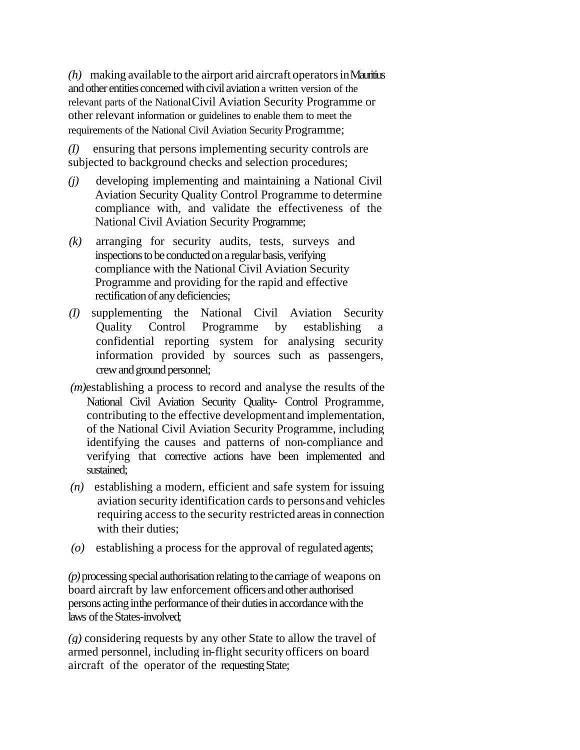$(h)$  making available to the airport arid aircraft operators in Mauritius and other entities concerned with civil aviation a written version of the relevant parts of the NationalCivil Aviation Security Programme or other relevant information or guidelines to enable them to meet the requirements of the National Civil Aviation Security Programme;

*(I)* ensuring that persons implementing security controls are subjected to background checks and selection procedures;

- *(j)* developing implementing and maintaining a National Civil Aviation Security Quality Control Programme to determine compliance with, and validate the effectiveness of the National Civil Aviation Security Programme;
- *(k)* arranging for security audits, tests, surveys and inspections to be conducted on a regular basis, verifying compliance with the National Civil Aviation Security Programme and providing for the rapid and effective rectification of any deficiencies;
- *(I)* supplementing the National Civil Aviation Security Quality Control Programme by establishing confidential reporting system for analysing security information provided by sources such as passengers, crew and ground personnel;
- *(m)*establishing a process to record and analyse the results of the National Civil Aviation Security Quality- Control Programme, contributing to the effective development and implementation, of the National Civil Aviation Security Programme, including identifying the causes and patterns of non-compliance and verifying that corrective actions have been implemented and sustained;
- *(n)* establishing a modern, efficient and safe system for issuing aviation security identification cards to persons and vehicles requiring access to the security restricted areas in connection with their duties:
- (o) establishing a process for the approval of regulated agents;

*(p)* processing special authorisation relating to the carriage of weapons on board aircraft by law enforcement officers and other authorised persons acting inthe performance of their duties in accordance with the laws of the States-involved;

*(g)* considering requests by any other State to allow the travel of armed personnel, including in-flight security officers on board aircraft of the operator of the requesting State;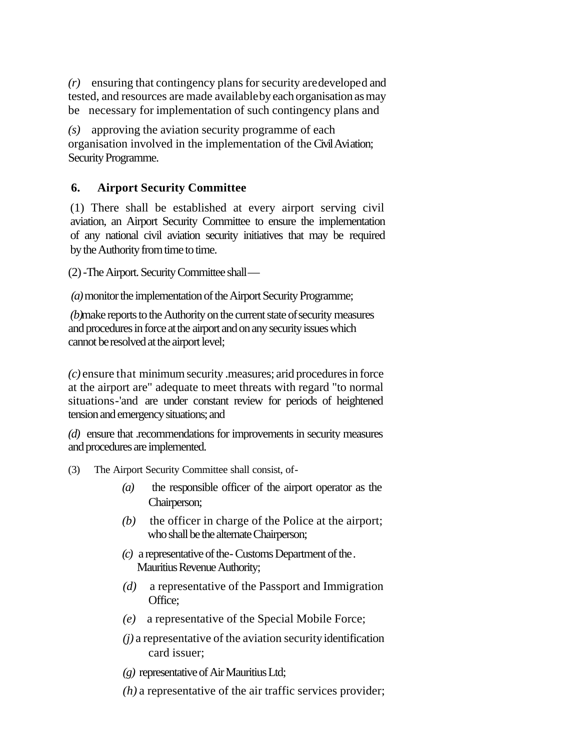*(r)* ensuring that contingency plans for security are developed and tested, and resources are made available by each organisation as may be necessary for implementation of such contingency plans and

*(s)* approving the aviation security programme of each organisation involved in the implementation of the Civil Aviation; Security Programme.

# **6. Airport Security Committee**

(1) There shall be established at every airport serving civil aviation, an Airport Security Committee to ensure the implementation of any national civil aviation security initiatives that may be required by the Authority from time to time.

(2) -The Airport. Security Committee shall —

 *(a)* monitor the implementation of the Airport Security Programme;

*(b)*make reports to the Authority on the current state of security measures and procedures in force at the airport and on any security issues which cannot be resolved at the airport level;

*(c)* ensure that minimum security .measures; arid procedures in force at the airport are" adequate to meet threats with regard "to normal situations-'and are under constant review for periods of heightened tension and emergency situations; and

*(d)* ensure that .recommendations for improvements in security measures and procedures are implemented.

- (3) The Airport Security Committee shall consist, of-
	- *(a)* the responsible officer of the airport operator as the Chairperson;
	- *(b)* the officer in charge of the Police at the airport; who shall be the alternate Chairperson;
	- *(c)* a representative of the- Customs Department of the . Mauritius Revenue Authority;
	- *(d)* a representative of the Passport and Immigration Office:
	- *(e)* a representative of the Special Mobile Force;
	- *(j)* a representative of the aviation security identification card issuer;
	- *(g)* representative of Air Mauritius Ltd;
	- *(h)* a representative of the air traffic services provider;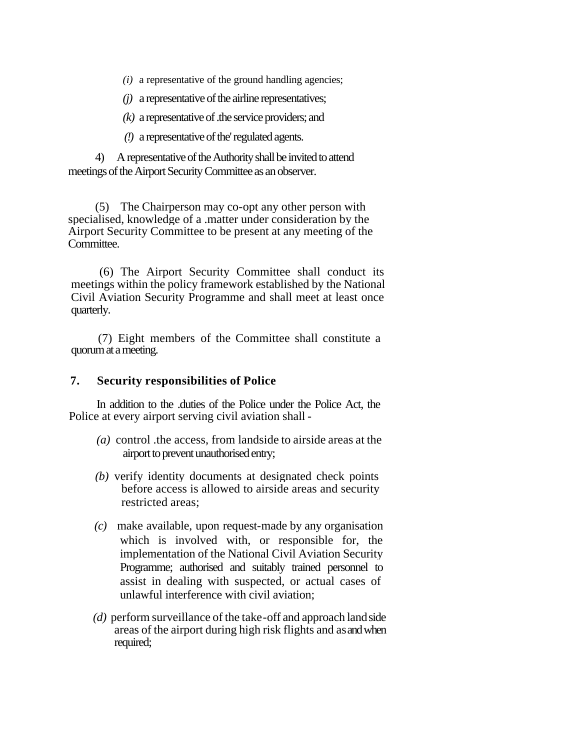*(i)* a representative of the ground handling agencies;

*(j)* a representative of the airline representatives;

*(k)* a representative of .the service providers; and

*(!)* a representative of the' regulated agents.

4) A representative of the Authority shall be invited to attend meetings of the Airport Security Committee as an observer.

(5) The Chairperson may co-opt any other person with specialised, knowledge of a .matter under consideration by the Airport Security Committee to be present at any meeting of the Committee.

(6) The Airport Security Committee shall conduct its meetings within the policy framework established by the National Civil Aviation Security Programme and shall meet at least once quarterly.

(7) Eight members of the Committee shall constitute a quorum at a meeting.

#### **7. Security responsibilities of Police**

In addition to the .duties of the Police under the Police Act, the Police at every airport serving civil aviation shall *-*

- *(a)* control .the access, from landside to airside areas at the airport to prevent unauthorised entry;
- *(b)* verify identity documents at designated check points before access is allowed to airside areas and security restricted areas;
- *(c)* make available, upon request-made by any organisation which is involved with, or responsible for, the implementation of the National Civil Aviation Security Programme; authorised and suitably trained personnel to assist in dealing with suspected, or actual cases of unlawful interference with civil aviation;
- *(d)* perform surveillance of the take-off and approach land side areas of the airport during high risk flights and as and when required;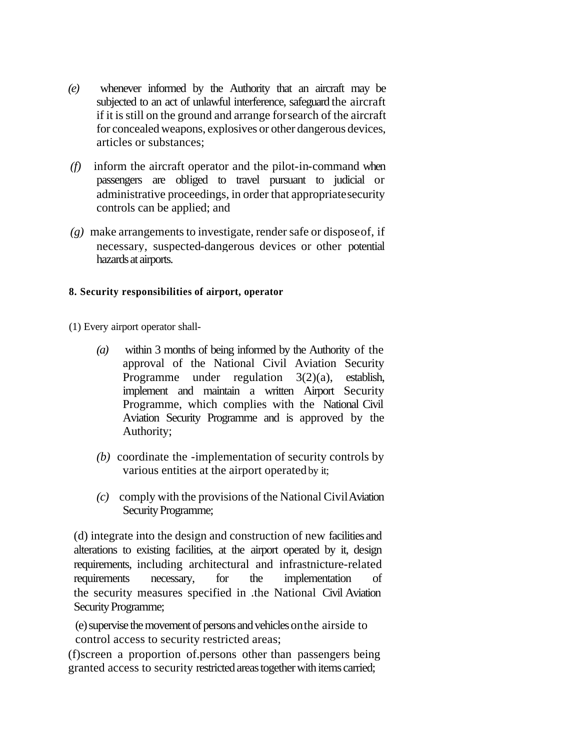- *(e)* whenever informed by the Authority that an aircraft may be subjected to an act of unlawful interference, safeguard the aircraft if it is still on the ground and arrange for search of the aircraft for concealed weapons, explosives or other dangerous devices, articles or substances;
- *(f)* inform the aircraft operator and the pilot-in-command when passengers are obliged to travel pursuant to judicial or administrative proceedings, in order that appropriate security controls can be applied; and
- *(g)* make arrangements to investigate, render safe or dispose of, if necessary, suspected-dangerous devices or other potential hazards at airports.

### **8. Security responsibilities of airport, operator**

(1) Every airport operator shall-

- *(a)* within 3 months of being informed by the Authority of the approval of the National Civil Aviation Security Programme under regulation 3(2)(a), establish, implement and maintain a written Airport Security Programme, which complies with the National Civil Aviation Security Programme and is approved by the Authority;
- *(b)* coordinate the -implementation of security controls by various entities at the airport operated by it;
- *(c)* comply with the provisions of the National Civil Aviation Security Programme;

(d) integrate into the design and construction of new facilities and alterations to existing facilities, at the airport operated by it, design requirements, including architectural and infrastnicture-related requirements necessary, for the implementation of the security measures specified in .the National Civil Aviation Security Programme;

(e) supervise the movement of persons and vehicles onthe airside to control access to security restricted areas;

(f)screen a proportion of.persons other than passengers being granted access to security restricted areas together with items carried;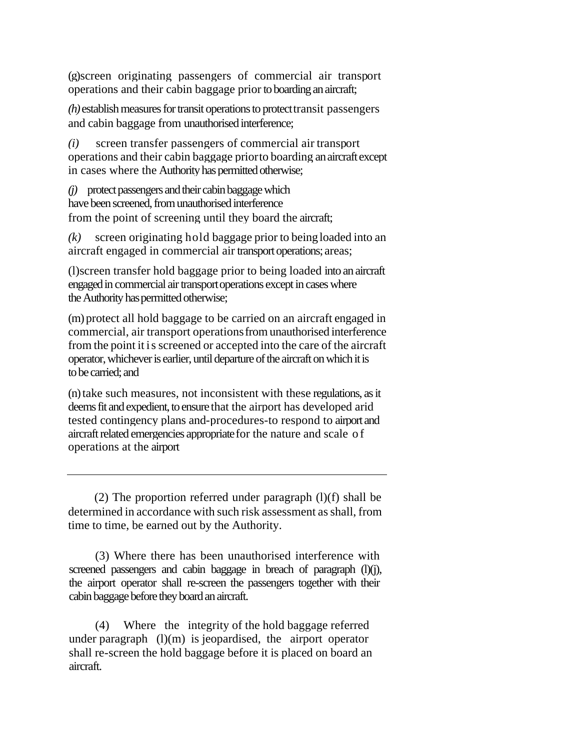(g)screen originating passengers of commercial air transport operations and their cabin baggage prior to boarding an aircraft;

*(h)* establish measures for transit operations to protect transit passengers and cabin baggage from unauthorised interference;

*(i)* screen transfer passengers of commercial air transport operations and their cabin baggage prior to boarding an aircraft except in cases where the Authority has permitted otherwise;

*(j)* protect passengers and their cabin baggage which have been screened, from unauthorised interference from the point of screening until they board the aircraft;

*(k)* screen originating hold baggage prior to being loaded into an aircraft engaged in commercial air transport operations; areas;

(l)screen transfer hold baggage prior to being loaded into an aircraft engaged in commercial air transport operations except in cases where the Authority has permitted otherwise;

(m) protect all hold baggage to be carried on an aircraft engaged in commercial, air transport operations from unauthorised interference from the point it is screened or accepted into the care of the aircraft operator, whichever is earlier, until departure of the aircraft on which it is to be carried; and

(n) take such measures, not inconsistent with these regulations, as it deems fit and expedient, to ensure that the airport has developed arid tested contingency plans and-procedures-to respond to airport and aircraft related emergencies appropriate for the nature and scale of operations at the airport

(2) The proportion referred under paragraph  $(l)(f)$  shall be determined in accordance with such risk assessment as shall, from time to time, be earned out by the Authority.

(3) Where there has been unauthorised interference with screened passengers and cabin baggage in breach of paragraph (l)(j), the airport operator shall re-screen the passengers together with their cabin baggage before they board an aircraft.

(4) Where the integrity of the hold baggage referred under paragraph  $(l)(m)$  is jeopardised, the airport operator shall re-screen the hold baggage before it is placed on board an aircraft.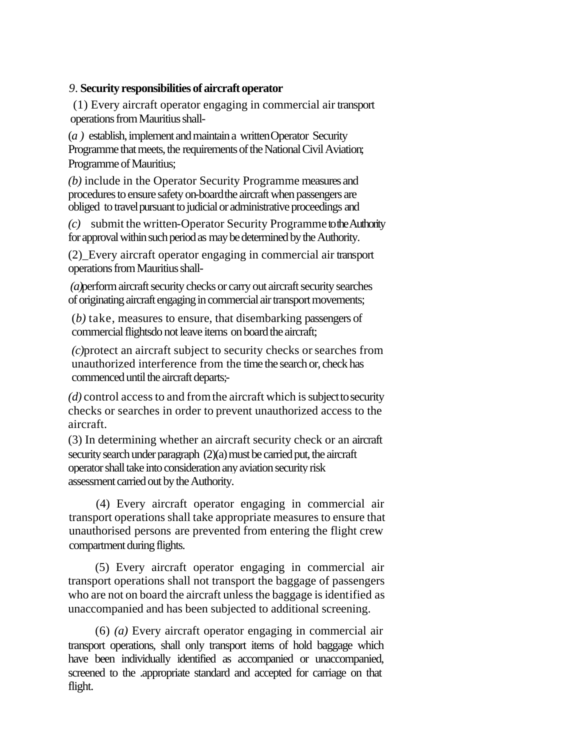## *9.* **Security responsibilities of aircraft operator**

(1) Every aircraft operator engaging in commercial air transport operations from Mauritius shall-

(*a )* establish, implement and maintain a writtenOperator Security Programme that meets, the requirements of the National Civil Aviation; Programme of Mauritius;

*(b)* include in the Operator Security Programme measures and procedures to ensure safety on-board the aircraft when passengers are obliged to travel pursuant to judicial or administrative proceedings and

*(c)* submit the written-Operator Security Programme to the Authority for approval within such period as may be determined by the Authority.

(2)\_Every aircraft operator engaging in commercial air transport operations from Mauritius shall-

 *(a)*perform aircraft security checks or carry out aircraft security searches of originating aircraft engaging in commercial air transport movements;

(*b)* take, measures to ensure, that disembarking passengers of commercial flightsdo not leave items on board the aircraft;

*(c)*protect an aircraft subject to security checks orsearches from unauthorized interference from the time the search or, check has commenced until the aircraft departs;-

*(d)* control access to and from the aircraft which is subject to security checks or searches in order to prevent unauthorized access to the aircraft.

(3) In determining whether an aircraft security check or an aircraft security search under paragraph (2)(a) must be carried put, the aircraft operator shall take into consideration any aviation security risk assessment carried out by the Authority.

(4) Every aircraft operator engaging in commercial air transport operations shall take appropriate measures to ensure that unauthorised persons are prevented from entering the flight crew compartment during flights.

(5) Every aircraft operator engaging in commercial air transport operations shall not transport the baggage of passengers who are not on board the aircraft unless the baggage is identified as unaccompanied and has been subjected to additional screening.

(6) *(a)* Every aircraft operator engaging in commercial air transport operations, shall only transport items of hold baggage which have been individually identified as accompanied or unaccompanied, screened to the .appropriate standard and accepted for carriage on that flight.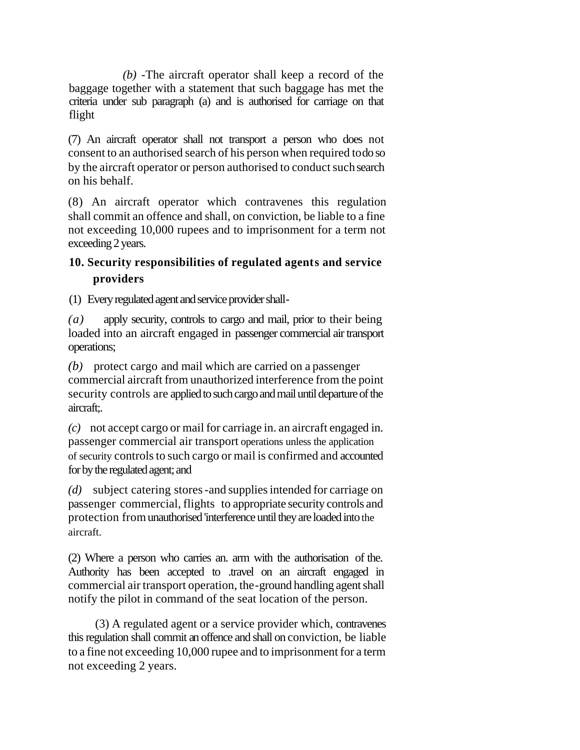*(b)* -The aircraft operator shall keep a record of the baggage together with a statement that such baggage has met the criteria under sub paragraph (a) and is authorised for carriage on that flight

(7) An aircraft operator shall not transport a person who does not consent to an authorised search of his person when required to do so by the aircraft operator or person authorised to conduct suchsearch on his behalf.

(8) An aircraft operator which contravenes this regulation shall commit an offence and shall, on conviction, be liable to a fine not exceeding 10,000 rupees and to imprisonment for a term not exceeding 2 years.

# **10. Security responsibilities of regulated agents and service providers**

(1) Every regulated agent and service provider shall -

*(a)* apply security, controls to cargo and mail, prior to their being loaded into an aircraft engaged in passenger commercial air transport operations;

*(b)* protect cargo and mail which are carried on a passenger commercial aircraft from unauthorized interference from the point security controls are applied to such cargo and mail until departure of the aircraft;.

*(c)* not accept cargo or mail for carriage in. an aircraft engaged in. passenger commercial air transport operations unless the application of security controls to such cargo or mail is confirmed and accounted for by the regulated agent; and

*(d)* subject catering stores -and supplies intended for carriage on passenger commercial, flights to appropriate security controls and protection from unauthorised 'interference until they are loaded into the aircraft.

(2) Where a person who carries an. arm with the authorisation of the. Authority has been accepted to .travel on an aircraft engaged in commercial air transport operation, the-ground handling agent shall notify the pilot in command of the seat location of the person.

(3) A regulated agent or a service provider which, contravenes this regulation shall commit an offence and shall on conviction, be liable to a fine not exceeding 10,000 rupee and to imprisonment for a term not exceeding 2 years.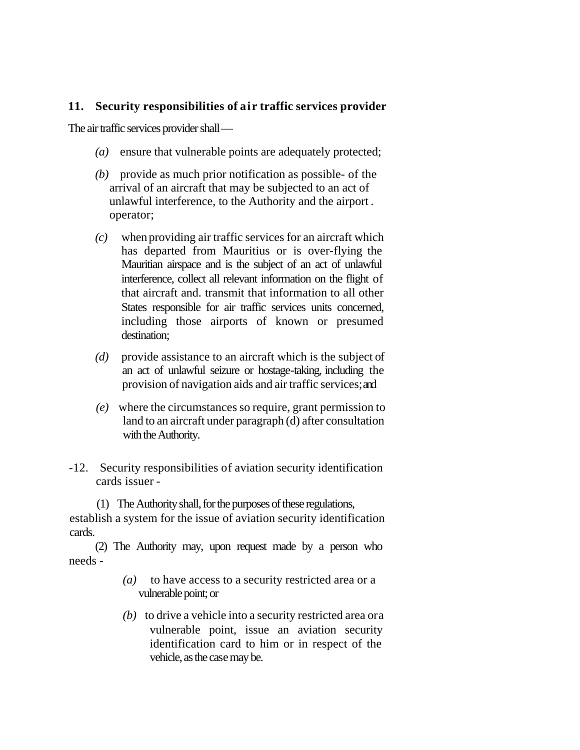## **11. Security responsibilities of air traffic services provider**

The air traffic services provider shall —

- *(a)* ensure that vulnerable points are adequately protected;
- *(b)* provide as much prior notification as possible- of the arrival of an aircraft that may be subjected to an act of unlawful interference, to the Authority and the airport . operator;
- *(c)* when providing air traffic services for an aircraft which has departed from Mauritius or is over-flying the Mauritian airspace and is the subject of an act of unlawful interference, collect all relevant information on the flight of that aircraft and. transmit that information to all other States responsible for air traffic services units concerned, including those airports of known or presumed destination;
- *(d)* provide assistance to an aircraft which is the subject of an act of unlawful seizure or hostage-taking, including the provision of navigation aids and air traffic services;and
- *(e)* where the circumstances so require, grant permission to land to an aircraft under paragraph (d) after consultation with the Authority.
- -12. Security responsibilities of aviation security identification cards issuer -

(1) The Authority shall, for the purposes of these regulations, establish a system for the issue of aviation security identification cards.

(2) The Authority may, upon request made by a person who needs -

- *(a)* to have access to a security restricted area or a vulnerable point; or
- *(b)* to drive a vehicle into a security restricted area or a vulnerable point, issue an aviation security identification card to him or in respect of the vehicle, as the case may be.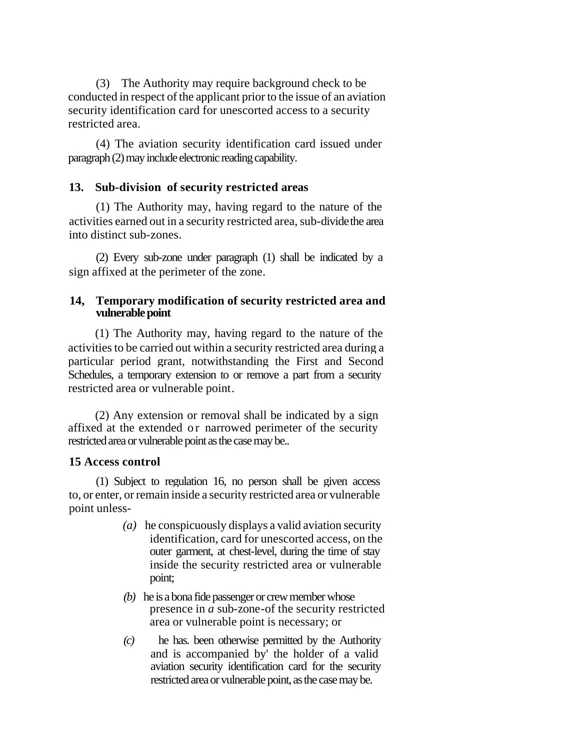(3) The Authority may require background check to be conducted in respect of the applicant prior to the issue of an aviation security identification card for unescorted access to a security restricted area.

(4) The aviation security identification card issued under paragraph (2) may include electronic reading capability.

## **13. Sub-division of security restricted areas**

(1) The Authority may, having regard to the nature of the activities earned out in a security restricted area, sub-divide the area into distinct sub-zones.

(2) Every sub-zone under paragraph (1) shall be indicated by a sign affixed at the perimeter of the zone.

### **14, Temporary modification of security restricted area and vulnerable point**

(1) The Authority may, having regard to the nature of the activities to be carried out within a security restricted area during a particular period grant, notwithstanding the First and Second Schedules, a temporary extension to or remove a part from a security restricted area or vulnerable point.

(2) Any extension or removal shall be indicated by a sign affixed at the extended or narrowed perimeter of the security restricted area or vulnerable point as the case may be..

### **15 Access control**

(1) Subject to regulation 16, no person shall be given access to, or enter, or remain inside a security restricted area or vulnerable point unless-

- *(a)* he conspicuously displays a valid aviation security identification, card for unescorted access, on the outer garment, at chest-level, during the time of stay inside the security restricted area or vulnerable point;
- *(b)* he is a bona fide passenger or crew member whose presence in *a* sub-zone-of the security restricted area or vulnerable point is necessary; or
- *(c)* he has. been otherwise permitted by the Authority and is accompanied by' the holder of a valid aviation security identification card for the security restricted area or vulnerable point, as the case may be.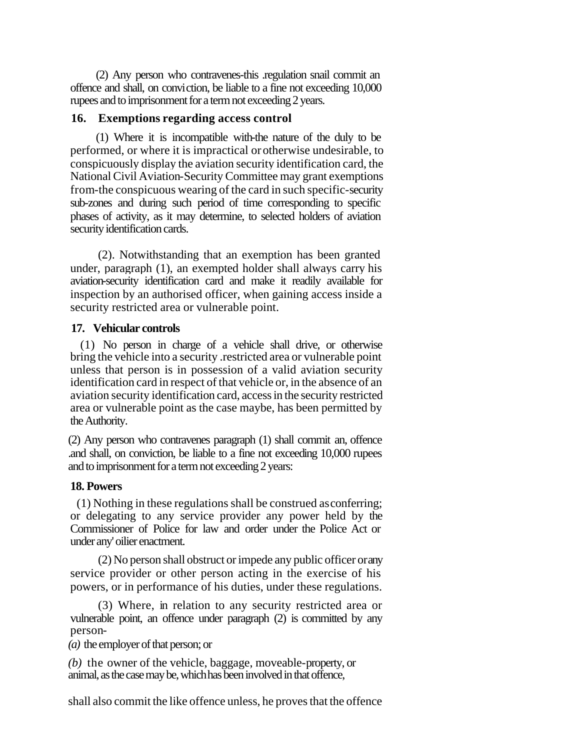(2) Any person who contravenes-this .regulation snail commit an offence and shall, on conviction, be liable to a fine not exceeding 10,000 rupees and to imprisonment for a term not exceeding 2 years.

#### **16. Exemptions regarding access control**

(1) Where it is incompatible with-the nature of the duly to be performed, or where it is impractical or otherwise undesirable, to conspicuously display the aviation security identification card, the National Civil Aviation-Security Committee may grant exemptions from-the conspicuous wearing of the card in such specific-security sub-zones and during such period of time corresponding to specific phases of activity, as it may determine, to selected holders of aviation security identification cards.

(2). Notwithstanding that an exemption has been granted under, paragraph (1), an exempted holder shall always carry his aviation-security identification card and make it readily available for inspection by an authorised officer, when gaining access inside a security restricted area or vulnerable point.

#### **17. Vehicular controls**

(1) No person in charge of a vehicle shall drive, or otherwise bring the vehicle into a security .restricted area or vulnerable point unless that person is in possession of a valid aviation security identification card in respect of that vehicle or, in the absence of an aviation security identification card, access in the security restricted area or vulnerable point as the case maybe, has been permitted by the Authority.

(2) Any person who contravenes paragraph (1) shall commit an, offence .and shall, on conviction, be liable to a fine not exceeding 10,000 rupees and to imprisonment for a term not exceeding 2 years:

### **18. Powers**

(1) Nothing in these regulations shall be construed as conferring; or delegating to any service provider any power held by the Commissioner of Police for law and order under the Police Act or under any' oilier enactment.

(2) No person shall obstruct or impede any public officer or any service provider or other person acting in the exercise of his powers, or in performance of his duties, under these regulations.

(3) Where, in relation to any security restricted area or vulnerable point, an offence under paragraph (2) is committed by any person-

*(a)* the employer of that person; or

*(b)* the owner of the vehicle, baggage, moveable-property, or animal, as the case may be, which has been involved in that offence,

shall also commit the like offence unless, he proves that the offence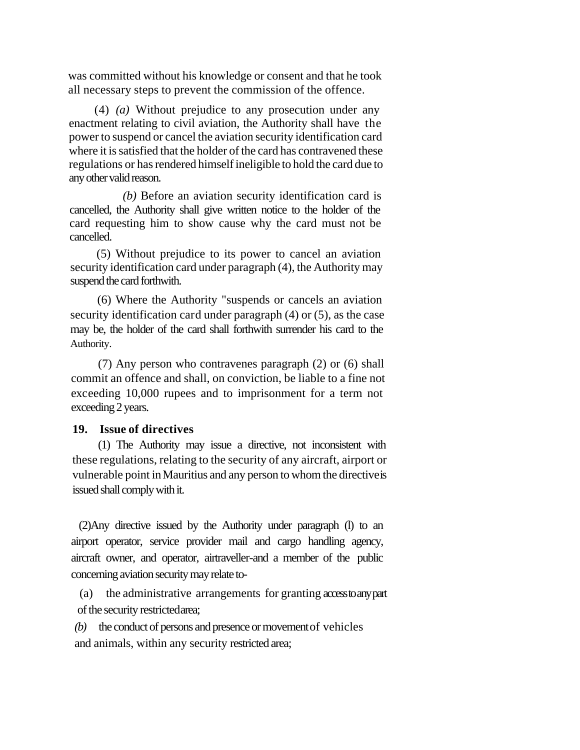was committed without his knowledge or consent and that he took all necessary steps to prevent the commission of the offence.

(4) *(a)* Without prejudice to any prosecution under any enactment relating to civil aviation, the Authority shall have the power to suspend or cancel the aviation security identification card where it is satisfied that the holder of the card has contravened these regulations or has rendered himself ineligible to hold the card due to any other valid reason.

*(b)* Before an aviation security identification card is cancelled, the Authority shall give written notice to the holder of the card requesting him to show cause why the card must not be cancelled.

(5) Without prejudice to its power to cancel an aviation security identification card under paragraph (4), the Authority may suspend the card forthwith.

(6) Where the Authority "suspends or cancels an aviation security identification card under paragraph (4) or (5), as the case may be, the holder of the card shall forthwith surrender his card to the Authority.

(7) Any person who contravenes paragraph (2) or (6) shall commit an offence and shall, on conviction, be liable to a fine not exceeding 10,000 rupees and to imprisonment for a term not exceeding 2 years.

#### **19. Issue of directives**

(1) The Authority may issue a directive, not inconsistent with these regulations, relating to the security of any aircraft, airport or vulnerable point in Mauritius and any person to whom the directive is issued shall comply with it.

(2)Any directive issued by the Authority under paragraph (l) to an airport operator, service provider mail and cargo handling agency, aircraft owner, and operator, airtraveller-and a member of the public concerning aviation security may relate to-

 (a) the administrative arrangements for granting access to any part of the security restrictedarea;

*(b)* the conduct of persons and presence or movement of vehicles and animals, within any security restricted area;